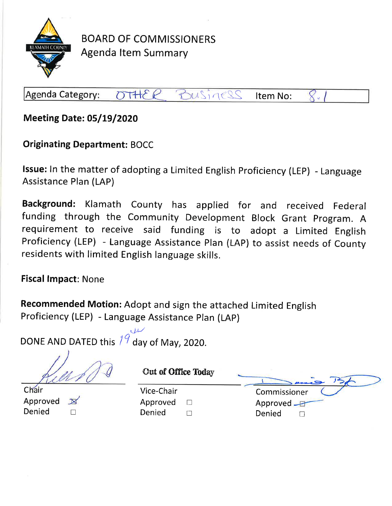

**BOARD OF COMMISSIONERS Agenda Item Summary** 

 $DTHEP$ Business Agenda Category: Item No:

**Meeting Date: 05/19/2020** 

**Originating Department: BOCC** 

Issue: In the matter of adopting a Limited English Proficiency (LEP) - Language **Assistance Plan (LAP)** 

Background: Klamath County has applied for and received Federal funding through the Community Development Block Grant Program. A requirement to receive said funding is to adopt a Limited English Proficiency (LEP) - Language Assistance Plan (LAP) to assist needs of County residents with limited English language skills.

**Fiscal Impact: None** 

Recommended Motion: Adopt and sign the attached Limited English Proficiency (LEP) - Language Assistance Plan (LAP)

DONE AND DATED this  $\sqrt[3]{4}$  day of May, 2020.

Chair Approved  $\mathbb{N}$ Denied  $\Box$ 

| Vice-Chair |              |
|------------|--------------|
| Approved   | $\mathbf{L}$ |
| Denied     | $\Box$       |

Out of Office Today Commissioner Approved F Denied  $\Box$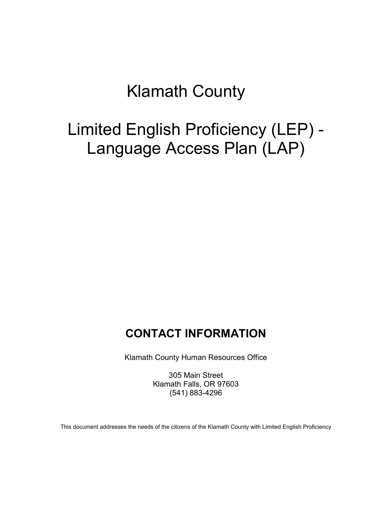# Klamath County

# Limited English Proficiency (LEP) - Language Access Plan (LAP)

# **CONTACT INFORMATION**

Klamath County Human Resources Office

305 Main Street Klamath Falls, OR 97603 (541) 883-4296

This document addresses the needs of the citizens of the Klamath County with Limited English Proficiency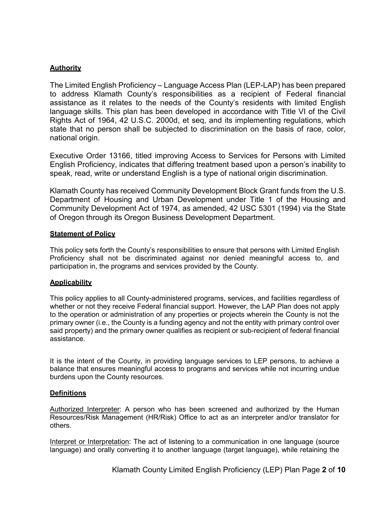# **Authority**

The Limited English Proficiency – Language Access Plan (LEP-LAP) has been prepared to address Klamath County's responsibilities as a recipient of Federal financial assistance as it relates to the needs of the County's residents with limited English language skills. This plan has been developed in accordance with Title VI of the Civil Rights Act of 1964, 42 U.S.C. 2000d, et seq, and its implementing regulations, which state that no person shall be subjected to discrimination on the basis of race, color, national origin.

Executive Order 13166, titled improving Access to Services for Persons with Limited English Proficiency, indicates that differing treatment based upon a person's inability to speak, read, write or understand English is a type of national origin discrimination.

Klamath County has received Community Development Block Grant funds from the U.S. Department of Housing and Urban Development under Title 1 of the Housing and Community Development Act of 1974, as amended, 42 USC 5301 (1994) via the State of Oregon through its Oregon Business Development Department.

#### **Statement of Policy**

This policy sets forth the County's responsibilities to ensure that persons with Limited English Proficiency shall not be discriminated against nor denied meaningful access to, and participation in, the programs and services provided by the County.

# **Applicability**

This policy applies to all County-administered programs, services, and facilities regardless of whether or not they receive Federal financial support. However, the LAP Plan does not apply to the operation or administration of any properties or projects wherein the County is not the primary owner (i.e., the County is a funding agency and not the entity with primary control over said property) and the primary owner qualifies as recipient or sub-recipient of federal financial assistance.

It is the intent of the County, in providing language services to LEP persons, to achieve a balance that ensures meaningful access to programs and services while not incurring undue burdens upon the County resources.

# **Definitions**

Authorized Interpreter: A person who has been screened and authorized by the Human Resources/Risk Management (HR/Risk) Office to act as an interpreter and/or translator for others.

Interpret or Interpretation: The act of listening to a communication in one language (source language) and orally converting it to another language (target language), while retaining the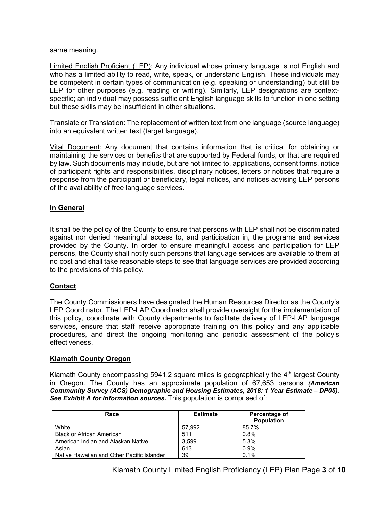same meaning.

Limited English Proficient (LEP): Any individual whose primary language is not English and who has a limited ability to read, write, speak, or understand English. These individuals may be competent in certain types of communication (e.g. speaking or understanding) but still be LEP for other purposes (e.g. reading or writing). Similarly, LEP designations are contextspecific; an individual may possess sufficient English language skills to function in one setting but these skills may be insufficient in other situations.

Translate or Translation: The replacement of written text from one language (source language) into an equivalent written text (target language).

Vital Document: Any document that contains information that is critical for obtaining or maintaining the services or benefits that are supported by Federal funds, or that are required by law. Such documents may include, but are not limited to, applications, consent forms, notice of participant rights and responsibilities, disciplinary notices, letters or notices that require a response from the participant or beneficiary, legal notices, and notices advising LEP persons of the availability of free language services.

# **In General**

It shall be the policy of the County to ensure that persons with LEP shall not be discriminated against nor denied meaningful access to, and participation in, the programs and services provided by the County. In order to ensure meaningful access and participation for LEP persons, the County shall notify such persons that language services are available to them at no cost and shall take reasonable steps to see that language services are provided according to the provisions of this policy.

# **Contact**

The County Commissioners have designated the Human Resources Director as the County's LEP Coordinator. The LEP-LAP Coordinator shall provide oversight for the implementation of this policy, coordinate with County departments to facilitate delivery of LEP-LAP language services, ensure that staff receive appropriate training on this policy and any applicable procedures, and direct the ongoing monitoring and periodic assessment of the policy's effectiveness.

# **Klamath County Oregon**

Klamath County encompassing 5941.2 square miles is geographically the  $4<sup>th</sup>$  largest County in Oregon. The County has an approximate population of 67,653 persons *(American Community Survey (ACS) Demographic and Housing Estimates, 2018: 1 Year Estimate – DP05). See Exhibit A for information sources.* This population is comprised of:

| Race                                       | <b>Estimate</b> | Percentage of<br><b>Population</b> |
|--------------------------------------------|-----------------|------------------------------------|
| White                                      | 57.992          | 85.7%                              |
| <b>Black or African American</b>           | 511             | 0.8%                               |
| American Indian and Alaskan Native         | 3.599           | 5.3%                               |
| Asian                                      | 613             | 0.9%                               |
| Native Hawaiian and Other Pacific Islander | 39              | $0.1\%$                            |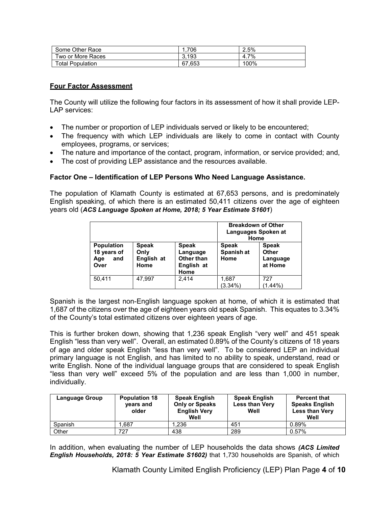| Some Other Race         | 706    | 2.5%      |
|-------------------------|--------|-----------|
| Two or More Races       | 3.193  | 7%<br>4.1 |
| <b>Total Population</b> | 67.653 | 100%      |

# **Four Factor Assessment**

The County will utilize the following four factors in its assessment of how it shall provide LEP-LAP services:

- The number or proportion of LEP individuals served or likely to be encountered;
- The frequency with which LEP individuals are likely to come in contact with County employees, programs, or services;
- The nature and importance of the contact, program, information, or service provided; and,
- The cost of providing LEP assistance and the resources available.

#### **Factor One – Identification of LEP Persons Who Need Language Assistance.**

The population of Klamath County is estimated at 67,653 persons, and is predominately English speaking, of which there is an estimated 50,411 citizens over the age of eighteen years old (*ACS Language Spoken at Home, 2018; 5 Year Estimate S1601*)

|                                                        |                                            |                                                                     | <b>Breakdown of Other</b><br>Languages Spoken at<br>Home |                                              |
|--------------------------------------------------------|--------------------------------------------|---------------------------------------------------------------------|----------------------------------------------------------|----------------------------------------------|
| <b>Population</b><br>18 years of<br>Age<br>and<br>Over | <b>Speak</b><br>Only<br>English at<br>Home | <b>Speak</b><br>Language<br><b>Other than</b><br>English at<br>Home | <b>Speak</b><br>Spanish at<br>Home                       | <b>Speak</b><br>Other<br>Language<br>at Home |
| 50,411                                                 | 47.997                                     | 2.414                                                               | 1,687<br>$(3.34\%)$                                      | 727<br>$(1.44\%)$                            |

Spanish is the largest non-English language spoken at home, of which it is estimated that 1,687 of the citizens over the age of eighteen years old speak Spanish. This equates to 3.34% of the County's total estimated citizens over eighteen years of age.

This is further broken down, showing that 1,236 speak English "very well" and 451 speak English "less than very well". Overall, an estimated 0.89% of the County's citizens of 18 years of age and older speak English "less than very well". To be considered LEP an individual primary language is not English, and has limited to no ability to speak, understand, read or write English. None of the individual language groups that are considered to speak English "less than very well" exceed 5% of the population and are less than 1,000 in number, individually.

| Language Group | <b>Population 18</b><br>years and<br>older | <b>Speak English</b><br><b>Only or Speaks</b><br><b>English Very</b><br>Well | <b>Speak English</b><br><b>Less than Very</b><br>Well | <b>Percent that</b><br><b>Speaks English</b><br><b>Less than Very</b><br>Well |
|----------------|--------------------------------------------|------------------------------------------------------------------------------|-------------------------------------------------------|-------------------------------------------------------------------------------|
| Spanish        | .687                                       | 1.236                                                                        | 451                                                   | 0.89%                                                                         |
| Other          | 727                                        | 438                                                                          | 289                                                   | 0.57%                                                                         |

In addition, when evaluating the number of LEP households the data shows *(ACS Limited English Households, 2018: 5 Year Estimate S1602)* that 1,730 households are Spanish, of which

Klamath County Limited English Proficiency (LEP) Plan Page **4** of **10**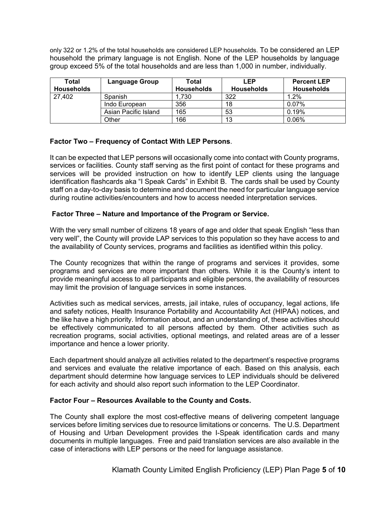only 322 or 1.2% of the total households are considered LEP households. To be considered an LEP household the primary language is not English. None of the LEP households by language group exceed 5% of the total households and are less than 1,000 in number, individually.

| Total             | <b>Language Group</b> | Total             | LEP        | <b>Percent LEP</b> |
|-------------------|-----------------------|-------------------|------------|--------------------|
| <b>Households</b> |                       | <b>Households</b> | Households | Households         |
| 27,402            | Spanish               | 1,730             | 322        | 1.2%               |
|                   | Indo European         | 356               | 18         | 0.07%              |
|                   | Asian Pacific Island  | 165               | 53         | 0.19%              |
|                   | Other                 | 166               | 13         | 0.06%              |

# **Factor Two – Frequency of Contact With LEP Persons**.

It can be expected that LEP persons will occasionally come into contact with County programs, services or facilities. County staff serving as the first point of contact for these programs and services will be provided instruction on how to identify LEP clients using the language identification flashcards aka "I Speak Cards" in Exhibit B. The cards shall be used by County staff on a day-to-day basis to determine and document the need for particular language service during routine activities/encounters and how to access needed interpretation services.

# **Factor Three – Nature and Importance of the Program or Service.**

With the very small number of citizens 18 years of age and older that speak English "less than very well", the County will provide LAP services to this population so they have access to and the availability of County services, programs and facilities as identified within this policy.

The County recognizes that within the range of programs and services it provides, some programs and services are more important than others. While it is the County's intent to provide meaningful access to all participants and eligible persons, the availability of resources may limit the provision of language services in some instances.

Activities such as medical services, arrests, jail intake, rules of occupancy, legal actions, life and safety notices, Health Insurance Portability and Accountability Act (HIPAA) notices, and the like have a high priority. Information about, and an understanding of, these activities should be effectively communicated to all persons affected by them. Other activities such as recreation programs, social activities, optional meetings, and related areas are of a lesser importance and hence a lower priority.

Each department should analyze all activities related to the department's respective programs and services and evaluate the relative importance of each. Based on this analysis, each department should determine how language services to LEP individuals should be delivered for each activity and should also report such information to the LEP Coordinator.

#### **Factor Four – Resources Available to the County and Costs.**

The County shall explore the most cost-effective means of delivering competent language services before limiting services due to resource limitations or concerns. The U.S. Department of Housing and Urban Development provides the I-Speak identification cards and many documents in multiple languages. Free and paid translation services are also available in the case of interactions with LEP persons or the need for language assistance.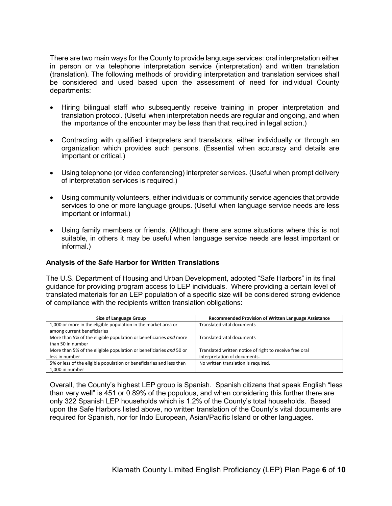There are two main ways for the County to provide language services: oral interpretation either in person or via telephone interpretation service (interpretation) and written translation (translation). The following methods of providing interpretation and translation services shall be considered and used based upon the assessment of need for individual County departments:

- Hiring bilingual staff who subsequently receive training in proper interpretation and translation protocol. (Useful when interpretation needs are regular and ongoing, and when the importance of the encounter may be less than that required in legal action.)
- Contracting with qualified interpreters and translators, either individually or through an organization which provides such persons. (Essential when accuracy and details are important or critical.)
- Using telephone (or video conferencing) interpreter services. (Useful when prompt delivery of interpretation services is required.)
- Using community volunteers, either individuals or community service agencies that provide services to one or more language groups. (Useful when language service needs are less important or informal.)
- Using family members or friends. (Although there are some situations where this is not suitable, in others it may be useful when language service needs are least important or informal.)

#### **Analysis of the Safe Harbor for Written Translations**

The U.S. Department of Housing and Urban Development, adopted "Safe Harbors" in its final guidance for providing program access to LEP individuals. Where providing a certain level of translated materials for an LEP population of a specific size will be considered strong evidence of compliance with the recipients written translation obligations:

| Size of Language Group                                                                        | <b>Recommended Provision of Written Language Assistance</b> |
|-----------------------------------------------------------------------------------------------|-------------------------------------------------------------|
| 1,000 or more in the eligible population in the market area or<br>among current beneficiaries | Translated vital documents                                  |
|                                                                                               |                                                             |
| More than 5% of the eligible population or beneficiaries and more                             | <b>Translated vital documents</b>                           |
| than 50 in number                                                                             |                                                             |
| More than 5% of the eligible population or beneficiaries and 50 or                            | Translated written notice of right to receive free oral     |
| less in number                                                                                | interpretation of documents.                                |
| 5% or less of the eligible population or beneficiaries and less than                          | No written translation is required.                         |
| 1.000 in number                                                                               |                                                             |

Overall, the County's highest LEP group is Spanish. Spanish citizens that speak English "less than very well" is 451 or 0.89% of the populous, and when considering this further there are only 322 Spanish LEP households which is 1.2% of the County's total households. Based upon the Safe Harbors listed above, no written translation of the County's vital documents are required for Spanish, nor for Indo European, Asian/Pacific Island or other languages.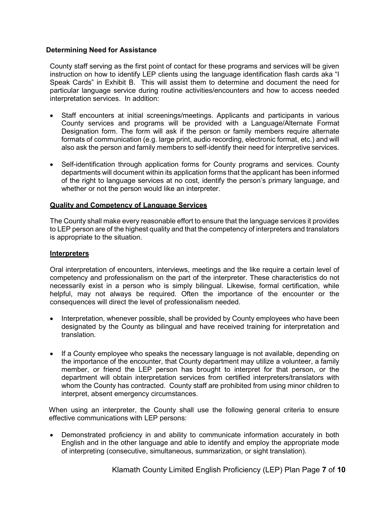# **Determining Need for Assistance**

County staff serving as the first point of contact for these programs and services will be given instruction on how to identify LEP clients using the language identification flash cards aka "I Speak Cards" in Exhibit B. This will assist them to determine and document the need for particular language service during routine activities/encounters and how to access needed interpretation services. In addition:

- Staff encounters at initial screenings/meetings. Applicants and participants in various County services and programs will be provided with a Language/Alternate Format Designation form. The form will ask if the person or family members require alternate formats of communication (e.g. large print, audio recording, electronic format, etc.) and will also ask the person and family members to self-identify their need for interpretive services.
- Self-identification through application forms for County programs and services. County departments will document within its application forms that the applicant has been informed of the right to language services at no cost, identify the person's primary language, and whether or not the person would like an interpreter.

#### **Quality and Competency of Language Services**

The County shall make every reasonable effort to ensure that the language services it provides to LEP person are of the highest quality and that the competency of interpreters and translators is appropriate to the situation.

#### **Interpreters**

Oral interpretation of encounters, interviews, meetings and the like require a certain level of competency and professionalism on the part of the interpreter. These characteristics do not necessarily exist in a person who is simply bilingual. Likewise, formal certification, while helpful, may not always be required. Often the importance of the encounter or the consequences will direct the level of professionalism needed.

- Interpretation, whenever possible, shall be provided by County employees who have been designated by the County as bilingual and have received training for interpretation and translation.
- If a County employee who speaks the necessary language is not available, depending on the importance of the encounter, that County department may utilize a volunteer, a family member, or friend the LEP person has brought to interpret for that person, or the department will obtain interpretation services from certified interpreters/translators with whom the County has contracted. County staff are prohibited from using minor children to interpret, absent emergency circumstances.

When using an interpreter, the County shall use the following general criteria to ensure effective communications with LEP persons:

• Demonstrated proficiency in and ability to communicate information accurately in both English and in the other language and able to identify and employ the appropriate mode of interpreting (consecutive, simultaneous, summarization, or sight translation).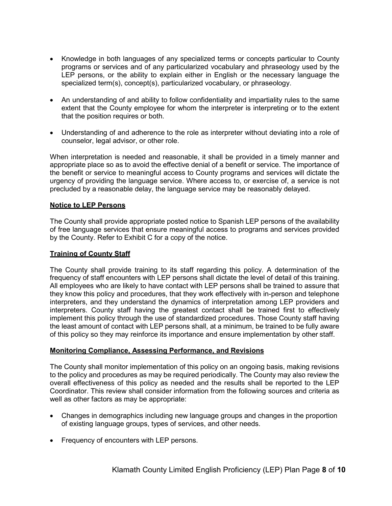- Knowledge in both languages of any specialized terms or concepts particular to County programs or services and of any particularized vocabulary and phraseology used by the LEP persons, or the ability to explain either in English or the necessary language the specialized term(s), concept(s), particularized vocabulary, or phraseology.
- An understanding of and ability to follow confidentiality and impartiality rules to the same extent that the County employee for whom the interpreter is interpreting or to the extent that the position requires or both.
- Understanding of and adherence to the role as interpreter without deviating into a role of counselor, legal advisor, or other role.

When interpretation is needed and reasonable, it shall be provided in a timely manner and appropriate place so as to avoid the effective denial of a benefit or service. The importance of the benefit or service to meaningful access to County programs and services will dictate the urgency of providing the language service. Where access to, or exercise of, a service is not precluded by a reasonable delay, the language service may be reasonably delayed.

#### **Notice to LEP Persons**

The County shall provide appropriate posted notice to Spanish LEP persons of the availability of free language services that ensure meaningful access to programs and services provided by the County. Refer to Exhibit C for a copy of the notice.

#### **Training of County Staff**

The County shall provide training to its staff regarding this policy. A determination of the frequency of staff encounters with LEP persons shall dictate the level of detail of this training. All employees who are likely to have contact with LEP persons shall be trained to assure that they know this policy and procedures, that they work effectively with in-person and telephone interpreters, and they understand the dynamics of interpretation among LEP providers and interpreters. County staff having the greatest contact shall be trained first to effectively implement this policy through the use of standardized procedures. Those County staff having the least amount of contact with LEP persons shall, at a minimum, be trained to be fully aware of this policy so they may reinforce its importance and ensure implementation by other staff.

#### **Monitoring Compliance, Assessing Performance, and Revisions**

The County shall monitor implementation of this policy on an ongoing basis, making revisions to the policy and procedures as may be required periodically. The County may also review the overall effectiveness of this policy as needed and the results shall be reported to the LEP Coordinator. This review shall consider information from the following sources and criteria as well as other factors as may be appropriate:

- Changes in demographics including new language groups and changes in the proportion of existing language groups, types of services, and other needs.
- Frequency of encounters with LEP persons.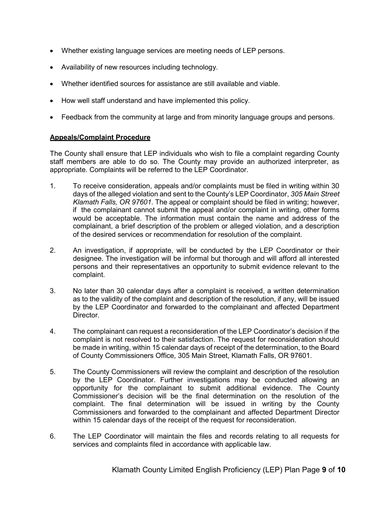- Whether existing language services are meeting needs of LEP persons.
- Availability of new resources including technology.
- Whether identified sources for assistance are still available and viable.
- How well staff understand and have implemented this policy.
- Feedback from the community at large and from minority language groups and persons.

#### **Appeals/Complaint Procedure**

The County shall ensure that LEP individuals who wish to file a complaint regarding County staff members are able to do so. The County may provide an authorized interpreter, as appropriate. Complaints will be referred to the LEP Coordinator.

- 1. To receive consideration, appeals and/or complaints must be filed in writing within 30 days of the alleged violation and sent to the County's LEP Coordinator, *305 Main Street Klamath Falls, OR 97601*. The appeal or complaint should be filed in writing; however, if the complainant cannot submit the appeal and/or complaint in writing, other forms would be acceptable. The information must contain the name and address of the complainant, a brief description of the problem or alleged violation, and a description of the desired services or recommendation for resolution of the complaint.
- 2. An investigation, if appropriate, will be conducted by the LEP Coordinator or their designee. The investigation will be informal but thorough and will afford all interested persons and their representatives an opportunity to submit evidence relevant to the complaint.
- 3. No later than 30 calendar days after a complaint is received, a written determination as to the validity of the complaint and description of the resolution, if any, will be issued by the LEP Coordinator and forwarded to the complainant and affected Department Director.
- 4. The complainant can request a reconsideration of the LEP Coordinator's decision if the complaint is not resolved to their satisfaction. The request for reconsideration should be made in writing, within 15 calendar days of receipt of the determination, to the Board of County Commissioners Office, 305 Main Street, Klamath Falls, OR 97601.
- 5. The County Commissioners will review the complaint and description of the resolution by the LEP Coordinator. Further investigations may be conducted allowing an opportunity for the complainant to submit additional evidence. The County Commissioner's decision will be the final determination on the resolution of the complaint. The final determination will be issued in writing by the County Commissioners and forwarded to the complainant and affected Department Director within 15 calendar days of the receipt of the request for reconsideration.
- 6. The LEP Coordinator will maintain the files and records relating to all requests for services and complaints filed in accordance with applicable law.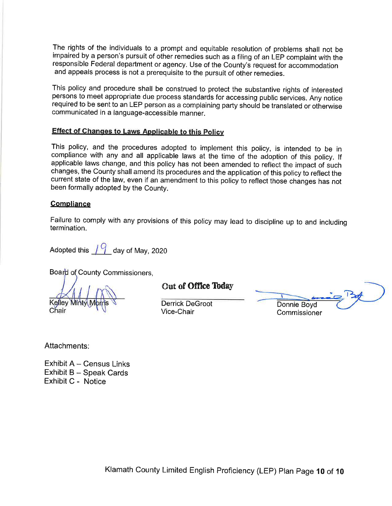The rights of the individuals to a prompt and equitable resolution of problems shall not be impaired by a person's pursuit of other remedies such as a filing of an LEP complaint with the responsible Federal department or agency. Use of the County's request for accommodation and appeals process is not a prerequisite to the pursuit of other remedies.

This policy and procedure shall be construed to protect the substantive rights of interested persons to meet appropriate due process standards for accessing public services. Any notice required to be sent to an LEP person as a complaining party should be translated or otherwise communicated in a language-accessible manner.

# **Effect of Changes to Laws Applicable to this Policy**

This policy, and the procedures adopted to implement this policy, is intended to be in compliance with any and all applicable laws at the time of the adoption of this policy. If applicable laws change, and this policy has not been amended to reflect the impact of such changes, the County shall amend its procedures and the application of this policy to reflect the current state of the law, even if an amendment to this policy to reflect those changes has not been formally adopted by the County.

#### **Compliance**

Failure to comply with any provisions of this policy may lead to discipline up to and including termination.

Adopted this  $19$  day of May, 2020

Board of County Commissioners.

Kelley Min Chair

Out of Office Today

**Derrick DeGroot** Vice-Chair

Donnie Boyd Commissioner

Attachments:

Exhibit A - Census Links Exhibit B - Speak Cards Exhibit C - Notice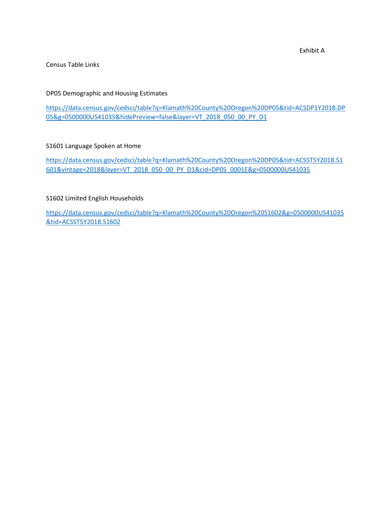Exhibit A

#### Census Table Links

#### DP05 Demographic and Housing Estimates

[https://data.census.gov/cedsci/table?q=Klamath%20County%20Oregon%20DP05&tid=ACSDP1Y2018.DP](https://data.census.gov/cedsci/table?q=Klamath%20County%20Oregon%20DP05&tid=ACSDP1Y2018.DP05&g=0500000US41035&hidePreview=false&layer=VT_2018_050_00_PY_D1) [05&g=0500000US41035&hidePreview=false&layer=VT\\_2018\\_050\\_00\\_PY\\_D1](https://data.census.gov/cedsci/table?q=Klamath%20County%20Oregon%20DP05&tid=ACSDP1Y2018.DP05&g=0500000US41035&hidePreview=false&layer=VT_2018_050_00_PY_D1)

#### S1601 Language Spoken at Home

[https://data.census.gov/cedsci/table?q=Klamath%20County%20Oregon%20DP05&tid=ACSST5Y2018.S1](https://data.census.gov/cedsci/table?q=Klamath%20County%20Oregon%20DP05&tid=ACSST5Y2018.S1601&vintage=2018&layer=VT_2018_050_00_PY_D1&cid=DP05_0001E&g=0500000US41035) [601&vintage=2018&layer=VT\\_2018\\_050\\_00\\_PY\\_D1&cid=DP05\\_0001E&g=0500000US41035](https://data.census.gov/cedsci/table?q=Klamath%20County%20Oregon%20DP05&tid=ACSST5Y2018.S1601&vintage=2018&layer=VT_2018_050_00_PY_D1&cid=DP05_0001E&g=0500000US41035)

#### S1602 Limited English Households

[https://data.census.gov/cedsci/table?q=Klamath%20County%20Oregon%20S1602&g=0500000US41035](https://data.census.gov/cedsci/table?q=Klamath%20County%20Oregon%20S1602&g=0500000US41035&tid=ACSST5Y2018.S1602) [&tid=ACSST5Y2018.S1602](https://data.census.gov/cedsci/table?q=Klamath%20County%20Oregon%20S1602&g=0500000US41035&tid=ACSST5Y2018.S1602)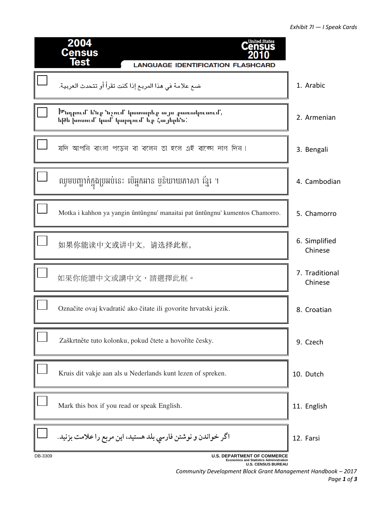|         | 2004<br><b>Census</b>                                                                                             |                           |
|---------|-------------------------------------------------------------------------------------------------------------------|---------------------------|
|         | <b>Test</b><br><b>LANGUAGE IDENTIFICATION FLASHCARD</b>                                                           |                           |
|         | ضع علامة في هذا المربع إذا كنت تقرأ أو تتحدث العربية.                                                             | 1. Arabic                 |
|         | <sup> Մ</sup> սդրում' ե՜սք ՙսչում' կատարեք այս քառակուսում,<br>եթե խոսում կամ կարդում եջ Հայերե՛ս:                | 2. Armenian               |
|         | যদি আপনি বাংলা পড়েন বা বলেন তা হলে এই বাক্ষে দাগ দিন।                                                            | 3. Bengali                |
|         | ឈូមបញ្ជាក់ក្នុងប្រអប់នេះ បើអ្នកអាន ឬនិយាយភាសា ខ្មែរ ។                                                             | 4. Cambodian              |
|         | Motka i kahhon ya yangin ûntûngnu' manaitai pat ûntûngnu' kumentos Chamorro.                                      | 5. Chamorro               |
|         | 如果你能读中文或讲中文, 请选择此框。                                                                                               | 6. Simplified<br>Chinese  |
|         | 如果你能讀中文或講中文,請選擇此框。                                                                                                | 7. Traditional<br>Chinese |
|         | Označite ovaj kvadratić ako čitate ili govorite hrvatski jezik.                                                   | 8. Croatian               |
|         | Zaškrtněte tuto kolonku, pokud čtete a hovoříte česky.                                                            | 9. Czech                  |
|         | Kruis dit vakje aan als u Nederlands kunt lezen of spreken.                                                       | 10. Dutch                 |
|         | Mark this box if you read or speak English.                                                                       | 11. English               |
|         | اگر خواندن و نوشتن فارسي بلد هستيد، اين مربع را علامت بزنيد.                                                      | 12. Farsi                 |
| DB-3309 | <b>U.S. DEPARTMENT OF COMMERCE</b><br><b>Economics and Statistics Administration</b><br><b>U.S. CENSUS BUREAU</b> |                           |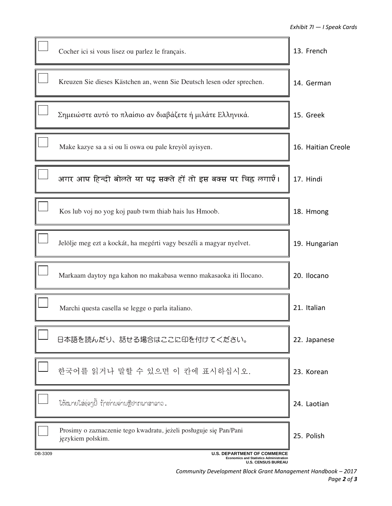|         | Cocher ici si vous lisez ou parlez le français.                                                                   | 13. French         |
|---------|-------------------------------------------------------------------------------------------------------------------|--------------------|
|         | Kreuzen Sie dieses Kästchen an, wenn Sie Deutsch lesen oder sprechen.                                             | 14. German         |
|         | Σημειώστε αυτό το πλαίσιο αν διαβάζετε ή μιλάτε Ελληνικά.                                                         | 15. Greek          |
|         | Make kazye sa a si ou li oswa ou pale kreyòl ayisyen.                                                             | 16. Haitian Creole |
|         | अगर आप हिन्दी बोलते या पढ़ सकते हों तो इस बक्स पर चिह्न लगाएँ।                                                    | 17. Hindi          |
|         | Kos lub voj no yog koj paub twm thiab hais lus Hmoob.                                                             | 18. Hmong          |
|         | Jelölje meg ezt a kockát, ha megérti vagy beszéli a magyar nyelvet.                                               | 19. Hungarian      |
|         | Markaam daytoy nga kahon no makabasa wenno makasaoka iti Ilocano.                                                 | 20. Ilocano        |
|         | Marchi questa casella se legge o parla italiano.                                                                  | 21. Italian        |
|         | 日本語を読んだり、話せる場合はここに印を付けてください。                                                                                      | 22. Japanese       |
|         | 한국어를 읽거나 말할 수 있으면 이 칸에 표시하십시오.                                                                                    | 23. Korean         |
|         | ใຫ້ໝายใส่อุ่อๆบึ้ ก้าท่ามอ่ามຫຼືປາກພາສາລາວ.                                                                       | 24. Laotian        |
|         | Prosimy o zaznaczenie tego kwadratu, jeżeli posługuje się Pan/Pani<br>językiem polskim.                           | 25. Polish         |
| DB-3309 | <b>U.S. DEPARTMENT OF COMMERCE</b><br><b>Economics and Statistics Administration</b><br><b>U.S. CENSUS BUREAU</b> |                    |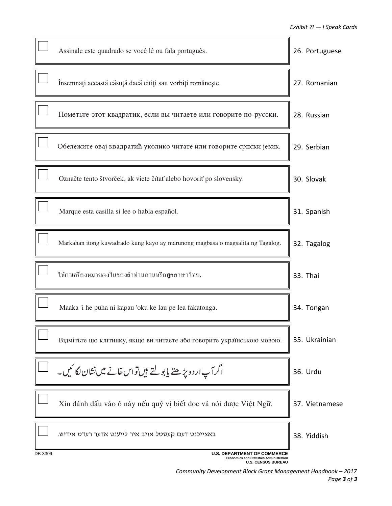|         | Assinale este quadrado se você lê ou fala português.                                                              | 26. Portuguese |
|---------|-------------------------------------------------------------------------------------------------------------------|----------------|
|         | Însemnați această căsuță dacă citiți sau vorbiți românește.                                                       | 27. Romanian   |
|         | Пометьте этот квадратик, если вы читаете или говорите по-русски.                                                  | 28. Russian    |
|         | Обележите овај квадратић уколико читате или говорите српски језик.                                                | 29. Serbian    |
|         | Označte tento štvorček, ak viete čítať alebo hovoriť po slovensky.                                                | 30. Slovak     |
|         | Marque esta casilla si lee o habla español.                                                                       | 31. Spanish    |
|         | Markahan itong kuwadrado kung kayo ay marunong magbasa o magsalita ng Tagalog.                                    | 32. Tagalog    |
|         | ให้กาเกรื่องหมายลงในช่องถ้าท่านอ่านหรือพูคภาษาใทย.                                                                | 33. Thai       |
|         | Maaka 'i he puha ni kapau 'oku ke lau pe lea fakatonga.                                                           | 34. Tongan     |
|         | Відмітьте цю клітинку, якщо ви читаєте або говорите українською мовою.                                            | 35. Ukrainian  |
|         | اگرآپار دوپڑھتے پابولتے ہیں تواس خانے میں نشان لگا ٹیں۔                                                           | 36. Urdu       |
|         | Xin đánh dấu vào ô này nếu quý vị biết đọc và nói được Việt Ngữ.                                                  | 37. Vietnamese |
|         | באצייכנט דעם קעסטל אויב איר לייענט אדער רעדט אידיש.                                                               | 38. Yiddish    |
| DB-3309 | <b>U.S. DEPARTMENT OF COMMERCE</b><br><b>Economics and Statistics Administration</b><br><b>U.S. CENSUS BUREAU</b> |                |